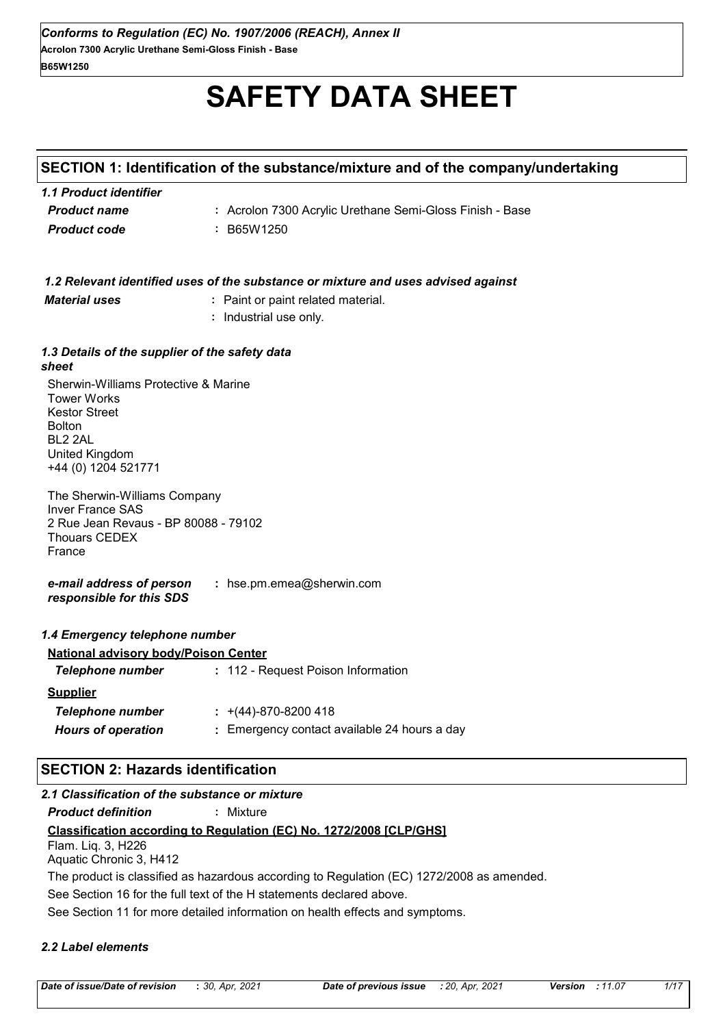# **SAFETY DATA SHEET**

# **SECTION 1: Identification of the substance/mixture and of the company/undertaking**

| 1.1 Product identifier |                                                          |
|------------------------|----------------------------------------------------------|
| <b>Product name</b>    | : Acrolon 7300 Acrylic Urethane Semi-Gloss Finish - Base |
| <b>Product code</b>    | : B65W1250                                               |

| 1.2 Relevant identified uses of the substance or mixture and uses advised against |  |
|-----------------------------------------------------------------------------------|--|
|                                                                                   |  |

*Material uses* **:** Paint or paint related material.

**:** Industrial use only.

#### *1.3 Details of the supplier of the safety data sheet*

Sherwin-Williams Protective & Marine Tower Works Kestor Street Bolton BL2 2AL United Kingdom +44 (0) 1204 521771

The Sherwin-Williams Company Inver France SAS 2 Rue Jean Revaus - BP 80088 - 79102 Thouars CEDEX France

*e-mail address of person responsible for this SDS* **:** hse.pm.emea@sherwin.com

#### *1.4 Emergency telephone number*

| <b>National advisory body/Poison Center</b> |                                              |
|---------------------------------------------|----------------------------------------------|
| Telephone number                            | : 112 - Request Poison Information           |
| <b>Supplier</b>                             |                                              |
| Telephone number                            | $\div$ +(44)-870-8200 418                    |
| <b>Hours of operation</b>                   | : Emergency contact available 24 hours a day |

# **SECTION 2: Hazards identification**

## *2.1 Classification of the substance or mixture*

*Product definition* **:** Mixture

## **Classification according to Regulation (EC) No. 1272/2008 [CLP/GHS]**

Flam. Liq. 3, H226 Aquatic Chronic 3, H412

The product is classified as hazardous according to Regulation (EC) 1272/2008 as amended.

See Section 16 for the full text of the H statements declared above.

See Section 11 for more detailed information on health effects and symptoms.

#### *2.2 Label elements*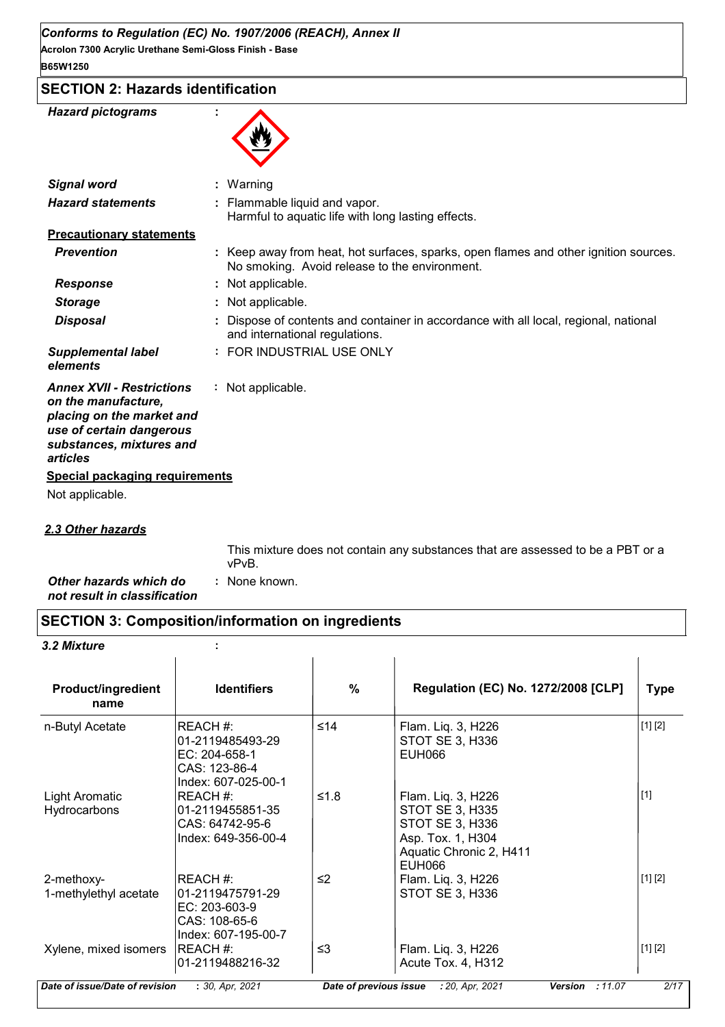**Acrolon 7300 Acrylic Urethane Semi-Gloss Finish - Base B65W1250**

| <b>SECTION 2: Hazards identification</b> |  |
|------------------------------------------|--|
|------------------------------------------|--|

| <b>Hazard pictograms</b>                                                                                                                                 |                                                                                                                                       |
|----------------------------------------------------------------------------------------------------------------------------------------------------------|---------------------------------------------------------------------------------------------------------------------------------------|
| <b>Signal word</b>                                                                                                                                       | : Warning                                                                                                                             |
| <b>Hazard statements</b>                                                                                                                                 | Flammable liquid and vapor.<br>Harmful to aquatic life with long lasting effects.                                                     |
| <b>Precautionary statements</b>                                                                                                                          |                                                                                                                                       |
| <b>Prevention</b>                                                                                                                                        | : Keep away from heat, hot surfaces, sparks, open flames and other ignition sources.<br>No smoking. Avoid release to the environment. |
| <b>Response</b>                                                                                                                                          | Not applicable.                                                                                                                       |
| <b>Storage</b>                                                                                                                                           | Not applicable.                                                                                                                       |
| <b>Disposal</b>                                                                                                                                          | Dispose of contents and container in accordance with all local, regional, national<br>and international regulations.                  |
| <b>Supplemental label</b><br>elements                                                                                                                    | : FOR INDUSTRIAL USE ONLY                                                                                                             |
| <b>Annex XVII - Restrictions</b><br>on the manufacture,<br>placing on the market and<br>use of certain dangerous<br>substances, mixtures and<br>articles | : Not applicable.                                                                                                                     |
| <b>Special packaging requirements</b>                                                                                                                    |                                                                                                                                       |
| Not applicable.                                                                                                                                          |                                                                                                                                       |
|                                                                                                                                                          |                                                                                                                                       |

## *2.3 Other hazards*

This mixture does not contain any substances that are assessed to be a PBT or a vPvB.

*Other hazards which do* **:** *not result in classification* : None known.

# **SECTION 3: Composition/information on ingredients**

#### *3.2 Mixture* **:**

| <b>Product/ingredient</b><br>name     | <b>Identifiers</b>                                                                    | $\frac{0}{0}$ | <b>Regulation (EC) No. 1272/2008 [CLP]</b>                                                                                       | <b>Type</b> |
|---------------------------------------|---------------------------------------------------------------------------------------|---------------|----------------------------------------------------------------------------------------------------------------------------------|-------------|
| n-Butyl Acetate                       | REACH #:<br>01-2119485493-29<br>EC: 204-658-1<br>CAS: 123-86-4<br>Index: 607-025-00-1 | ≤14           | Flam. Liq. 3, H226<br>STOT SE 3, H336<br><b>EUH066</b>                                                                           | [1] [2]     |
| <b>Light Aromatic</b><br>Hydrocarbons | REACH #:<br>01-2119455851-35<br>CAS: 64742-95-6<br>Index: 649-356-00-4                | ≤1.8          | Flam. Liq. 3, H226<br><b>STOT SE 3, H335</b><br>STOT SE 3, H336<br>Asp. Tox. 1, H304<br>Aquatic Chronic 2, H411<br><b>EUH066</b> | $[1]$       |
| 2-methoxy-<br>1-methylethyl acetate   | REACH#:<br>01-2119475791-29<br>EC: 203-603-9<br>CAS: 108-65-6<br>Index: 607-195-00-7  | $\leq$        | Flam. Liq. 3, H226<br>STOT SE 3, H336                                                                                            | [1] [2]     |
| Xylene, mixed isomers                 | REACH #:<br>01-2119488216-32                                                          | $\leq$ 3      | Flam. Liq. 3, H226<br>Acute Tox. 4, H312                                                                                         | [1] [2]     |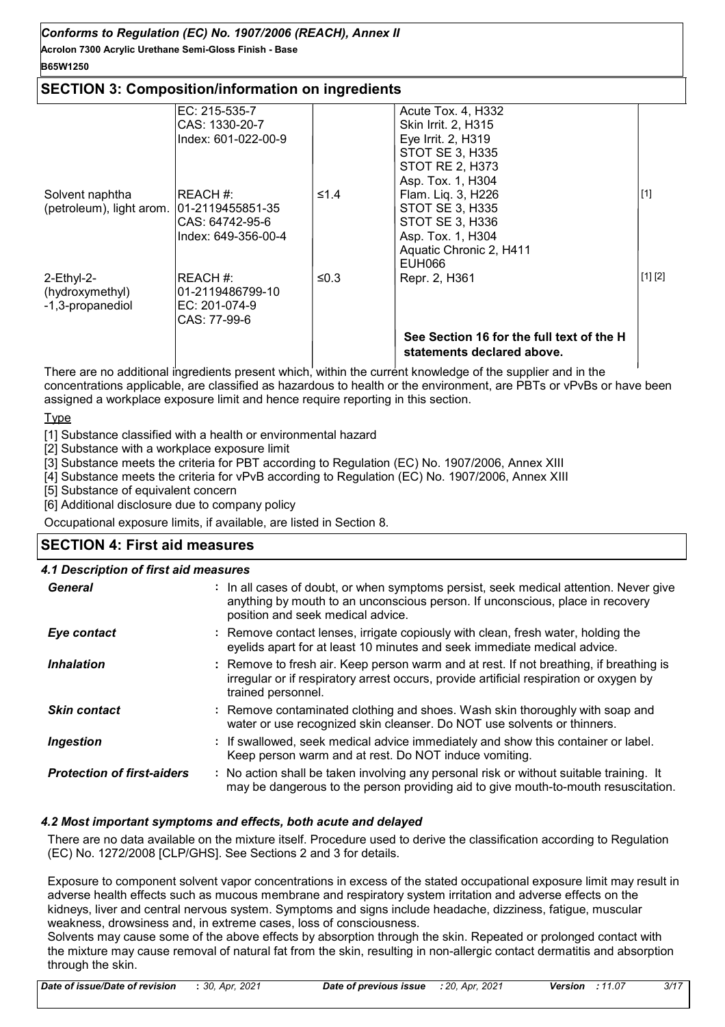# **Acrolon 7300 Acrylic Urethane Semi-Gloss Finish - Base** *Conforms to Regulation (EC) No. 1907/2006 (REACH), Annex II*

## **B65W1250**

## **SECTION 3: Composition/information on ingredients**

|                                           | EC: 215-535-7       |      | Acute Tox. 4, H332                        |         |
|-------------------------------------------|---------------------|------|-------------------------------------------|---------|
|                                           | CAS: 1330-20-7      |      | Skin Irrit. 2, H315                       |         |
|                                           | Index: 601-022-00-9 |      | Eye Irrit. 2, H319                        |         |
|                                           |                     |      | <b>STOT SE 3, H335</b>                    |         |
|                                           |                     |      | <b>STOT RE 2, H373</b>                    |         |
|                                           |                     |      | Asp. Tox. 1, H304                         |         |
| Solvent naphtha                           | IREACH #:           | ≤1.4 | Flam. Liq. 3, H226                        | $[1]$   |
| (petroleum), light arom. 01-2119455851-35 |                     |      | <b>STOT SE 3, H335</b>                    |         |
|                                           | CAS: 64742-95-6     |      | STOT SE 3, H336                           |         |
|                                           | Index: 649-356-00-4 |      | Asp. Tox. 1, H304                         |         |
|                                           |                     |      | Aquatic Chronic 2, H411                   |         |
|                                           |                     |      | EUH066                                    |         |
| 2-Ethyl-2-                                | IREACH #:           | ≤0.3 | Repr. 2, H361                             | [1] [2] |
| (hydroxymethyl)                           | 01-2119486799-10    |      |                                           |         |
| -1,3-propanediol                          | IEC: 201-074-9      |      |                                           |         |
|                                           | CAS: 77-99-6        |      |                                           |         |
|                                           |                     |      | See Section 16 for the full text of the H |         |
|                                           |                     |      | statements declared above.                |         |
|                                           |                     |      |                                           |         |

There are no additional ingredients present which, within the current knowledge of the supplier and in the concentrations applicable, are classified as hazardous to health or the environment, are PBTs or vPvBs or have been assigned a workplace exposure limit and hence require reporting in this section.

Type

[1] Substance classified with a health or environmental hazard

[2] Substance with a workplace exposure limit

[3] Substance meets the criteria for PBT according to Regulation (EC) No. 1907/2006, Annex XIII

[4] Substance meets the criteria for vPvB according to Regulation (EC) No. 1907/2006, Annex XIII

[5] Substance of equivalent concern

[6] Additional disclosure due to company policy

Occupational exposure limits, if available, are listed in Section 8.

# **SECTION 4: First aid measures**

#### : If swallowed, seek medical advice immediately and show this container or label. Keep person warm and at rest. Do NOT induce vomiting. Remove contaminated clothing and shoes. Wash skin thoroughly with soap and **:** water or use recognized skin cleanser. Do NOT use solvents or thinners. Remove to fresh air. Keep person warm and at rest. If not breathing, if breathing is irregular or if respiratory arrest occurs, provide artificial respiration or oxygen by trained personnel. General **In all cases of doubt, or when symptoms persist, seek medical attention. Never give <b>General** anything by mouth to an unconscious person. If unconscious, place in recovery position and seek medical advice. *Skin contact 4.1 Description of first aid measures Ingestion Inhalation* **:** *Protection of first-aiders* **:** No action shall be taken involving any personal risk or without suitable training. It may be dangerous to the person providing aid to give mouth-to-mouth resuscitation. **Eye contact Exercise 2.1 CONTACT FINDS 2.1 Remove contact lenses, irrigate copiously with clean, fresh water, holding the** eyelids apart for at least 10 minutes and seek immediate medical advice.

## *4.2 Most important symptoms and effects, both acute and delayed*

There are no data available on the mixture itself. Procedure used to derive the classification according to Regulation (EC) No. 1272/2008 [CLP/GHS]. See Sections 2 and 3 for details.

Exposure to component solvent vapor concentrations in excess of the stated occupational exposure limit may result in adverse health effects such as mucous membrane and respiratory system irritation and adverse effects on the kidneys, liver and central nervous system. Symptoms and signs include headache, dizziness, fatigue, muscular weakness, drowsiness and, in extreme cases, loss of consciousness.

Solvents may cause some of the above effects by absorption through the skin. Repeated or prolonged contact with the mixture may cause removal of natural fat from the skin, resulting in non-allergic contact dermatitis and absorption through the skin.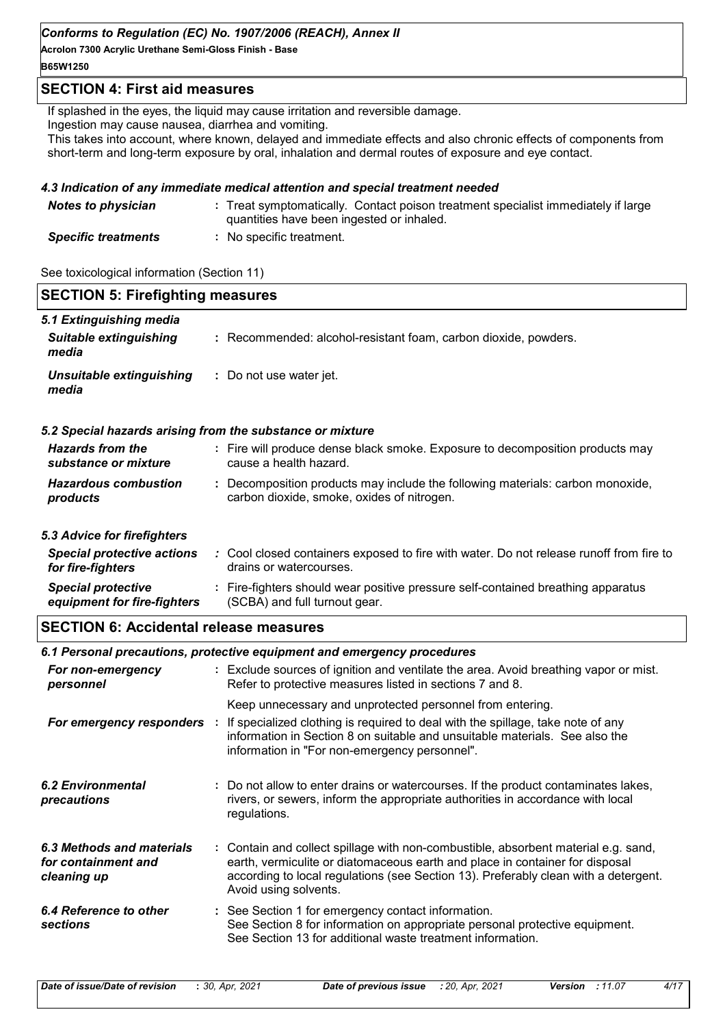**Acrolon 7300 Acrylic Urethane Semi-Gloss Finish - Base**

# **B65W1250**

## **SECTION 4: First aid measures**

If splashed in the eyes, the liquid may cause irritation and reversible damage.

Ingestion may cause nausea, diarrhea and vomiting.

This takes into account, where known, delayed and immediate effects and also chronic effects of components from short-term and long-term exposure by oral, inhalation and dermal routes of exposure and eye contact.

### *4.3 Indication of any immediate medical attention and special treatment needed*

| <b>Notes to physician</b>  | : Treat symptomatically. Contact poison treatment specialist immediately if large<br>quantities have been ingested or inhaled. |
|----------------------------|--------------------------------------------------------------------------------------------------------------------------------|
| <b>Specific treatments</b> | No specific treatment.                                                                                                         |

See toxicological information (Section 11)

| <b>SECTION 5: Firefighting measures</b>                           |                                                                                                                                                                                                                                                                                    |
|-------------------------------------------------------------------|------------------------------------------------------------------------------------------------------------------------------------------------------------------------------------------------------------------------------------------------------------------------------------|
| 5.1 Extinguishing media<br><b>Suitable extinguishing</b><br>media | : Recommended: alcohol-resistant foam, carbon dioxide, powders.                                                                                                                                                                                                                    |
| <b>Unsuitable extinguishing</b><br>media                          | : Do not use water jet.                                                                                                                                                                                                                                                            |
| 5.2 Special hazards arising from the substance or mixture         |                                                                                                                                                                                                                                                                                    |
| <b>Hazards from the</b><br>substance or mixture                   | : Fire will produce dense black smoke. Exposure to decomposition products may<br>cause a health hazard.                                                                                                                                                                            |
| <b>Hazardous combustion</b><br>products                           | : Decomposition products may include the following materials: carbon monoxide,<br>carbon dioxide, smoke, oxides of nitrogen.                                                                                                                                                       |
| 5.3 Advice for firefighters                                       |                                                                                                                                                                                                                                                                                    |
| <b>Special protective actions</b><br>for fire-fighters            | : Cool closed containers exposed to fire with water. Do not release runoff from fire to<br>drains or watercourses.                                                                                                                                                                 |
| <b>Special protective</b><br>equipment for fire-fighters          | : Fire-fighters should wear positive pressure self-contained breathing apparatus<br>(SCBA) and full turnout gear.                                                                                                                                                                  |
| <b>SECTION 6: Accidental release measures</b>                     |                                                                                                                                                                                                                                                                                    |
|                                                                   | 6.1 Personal precautions, protective equipment and emergency procedures                                                                                                                                                                                                            |
| For non-emergency<br>personnel                                    | : Exclude sources of ignition and ventilate the area. Avoid breathing vapor or mist.<br>Refer to protective measures listed in sections 7 and 8.                                                                                                                                   |
|                                                                   | Keep unnecessary and unprotected personnel from entering.                                                                                                                                                                                                                          |
| For emergency responders                                          | If specialized clothing is required to deal with the spillage, take note of any<br>information in Section 8 on suitable and unsuitable materials. See also the<br>information in "For non-emergency personnel".                                                                    |
| <b>6.2 Environmental</b><br>precautions                           | : Do not allow to enter drains or watercourses. If the product contaminates lakes,<br>rivers, or sewers, inform the appropriate authorities in accordance with local<br>regulations.                                                                                               |
| 6.3 Methods and materials<br>for containment and<br>cleaning up   | : Contain and collect spillage with non-combustible, absorbent material e.g. sand,<br>earth, vermiculite or diatomaceous earth and place in container for disposal<br>according to local regulations (see Section 13). Preferably clean with a detergent.<br>Avoid using solvents. |
| 6.4 Reference to other<br><b>sections</b>                         | : See Section 1 for emergency contact information.<br>See Section 8 for information on appropriate personal protective equipment.<br>See Section 13 for additional waste treatment information.                                                                                    |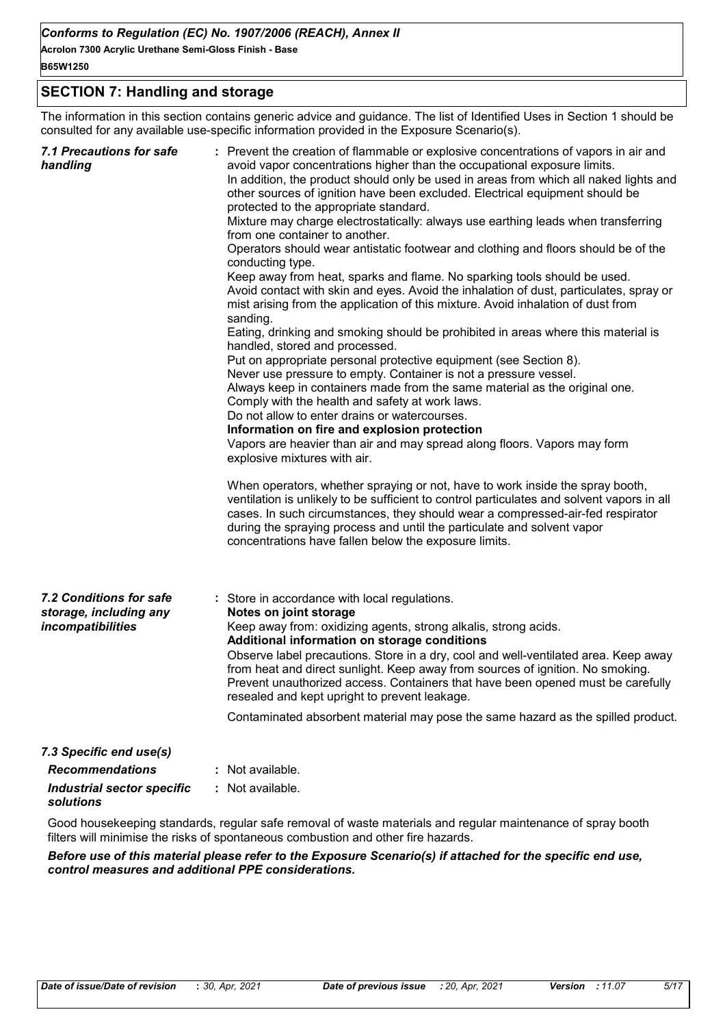## **SECTION 7: Handling and storage**

The information in this section contains generic advice and guidance. The list of Identified Uses in Section 1 should be consulted for any available use-specific information provided in the Exposure Scenario(s).

| <b>7.1 Precautions for safe</b><br>handling                            | : Prevent the creation of flammable or explosive concentrations of vapors in air and<br>avoid vapor concentrations higher than the occupational exposure limits.<br>In addition, the product should only be used in areas from which all naked lights and<br>other sources of ignition have been excluded. Electrical equipment should be<br>protected to the appropriate standard.<br>Mixture may charge electrostatically: always use earthing leads when transferring<br>from one container to another.<br>Operators should wear antistatic footwear and clothing and floors should be of the<br>conducting type.<br>Keep away from heat, sparks and flame. No sparking tools should be used.<br>Avoid contact with skin and eyes. Avoid the inhalation of dust, particulates, spray or<br>mist arising from the application of this mixture. Avoid inhalation of dust from<br>sanding.<br>Eating, drinking and smoking should be prohibited in areas where this material is<br>handled, stored and processed.<br>Put on appropriate personal protective equipment (see Section 8).<br>Never use pressure to empty. Container is not a pressure vessel.<br>Always keep in containers made from the same material as the original one.<br>Comply with the health and safety at work laws.<br>Do not allow to enter drains or watercourses.<br>Information on fire and explosion protection<br>Vapors are heavier than air and may spread along floors. Vapors may form<br>explosive mixtures with air.<br>When operators, whether spraying or not, have to work inside the spray booth,<br>ventilation is unlikely to be sufficient to control particulates and solvent vapors in all<br>cases. In such circumstances, they should wear a compressed-air-fed respirator<br>during the spraying process and until the particulate and solvent vapor<br>concentrations have fallen below the exposure limits. |
|------------------------------------------------------------------------|---------------------------------------------------------------------------------------------------------------------------------------------------------------------------------------------------------------------------------------------------------------------------------------------------------------------------------------------------------------------------------------------------------------------------------------------------------------------------------------------------------------------------------------------------------------------------------------------------------------------------------------------------------------------------------------------------------------------------------------------------------------------------------------------------------------------------------------------------------------------------------------------------------------------------------------------------------------------------------------------------------------------------------------------------------------------------------------------------------------------------------------------------------------------------------------------------------------------------------------------------------------------------------------------------------------------------------------------------------------------------------------------------------------------------------------------------------------------------------------------------------------------------------------------------------------------------------------------------------------------------------------------------------------------------------------------------------------------------------------------------------------------------------------------------------------------------------------------------------------------------------------------------------------|
| 7.2 Conditions for safe<br>storage, including any<br>incompatibilities | : Store in accordance with local regulations.<br>Notes on joint storage<br>Keep away from: oxidizing agents, strong alkalis, strong acids.<br>Additional information on storage conditions<br>Observe label precautions. Store in a dry, cool and well-ventilated area. Keep away<br>from heat and direct sunlight. Keep away from sources of ignition. No smoking.<br>Prevent unauthorized access. Containers that have been opened must be carefully<br>resealed and kept upright to prevent leakage.<br>Contaminated absorbent material may pose the same hazard as the spilled product.                                                                                                                                                                                                                                                                                                                                                                                                                                                                                                                                                                                                                                                                                                                                                                                                                                                                                                                                                                                                                                                                                                                                                                                                                                                                                                                   |
| 7.3 Specific end use(s)                                                |                                                                                                                                                                                                                                                                                                                                                                                                                                                                                                                                                                                                                                                                                                                                                                                                                                                                                                                                                                                                                                                                                                                                                                                                                                                                                                                                                                                                                                                                                                                                                                                                                                                                                                                                                                                                                                                                                                               |
| <b>Recommendations</b>                                                 | Not available.                                                                                                                                                                                                                                                                                                                                                                                                                                                                                                                                                                                                                                                                                                                                                                                                                                                                                                                                                                                                                                                                                                                                                                                                                                                                                                                                                                                                                                                                                                                                                                                                                                                                                                                                                                                                                                                                                                |
| <b>Industrial sector specific</b>                                      | : Not available.                                                                                                                                                                                                                                                                                                                                                                                                                                                                                                                                                                                                                                                                                                                                                                                                                                                                                                                                                                                                                                                                                                                                                                                                                                                                                                                                                                                                                                                                                                                                                                                                                                                                                                                                                                                                                                                                                              |
| solutions                                                              |                                                                                                                                                                                                                                                                                                                                                                                                                                                                                                                                                                                                                                                                                                                                                                                                                                                                                                                                                                                                                                                                                                                                                                                                                                                                                                                                                                                                                                                                                                                                                                                                                                                                                                                                                                                                                                                                                                               |

Good housekeeping standards, regular safe removal of waste materials and regular maintenance of spray booth filters will minimise the risks of spontaneous combustion and other fire hazards.

*Before use of this material please refer to the Exposure Scenario(s) if attached for the specific end use, control measures and additional PPE considerations.*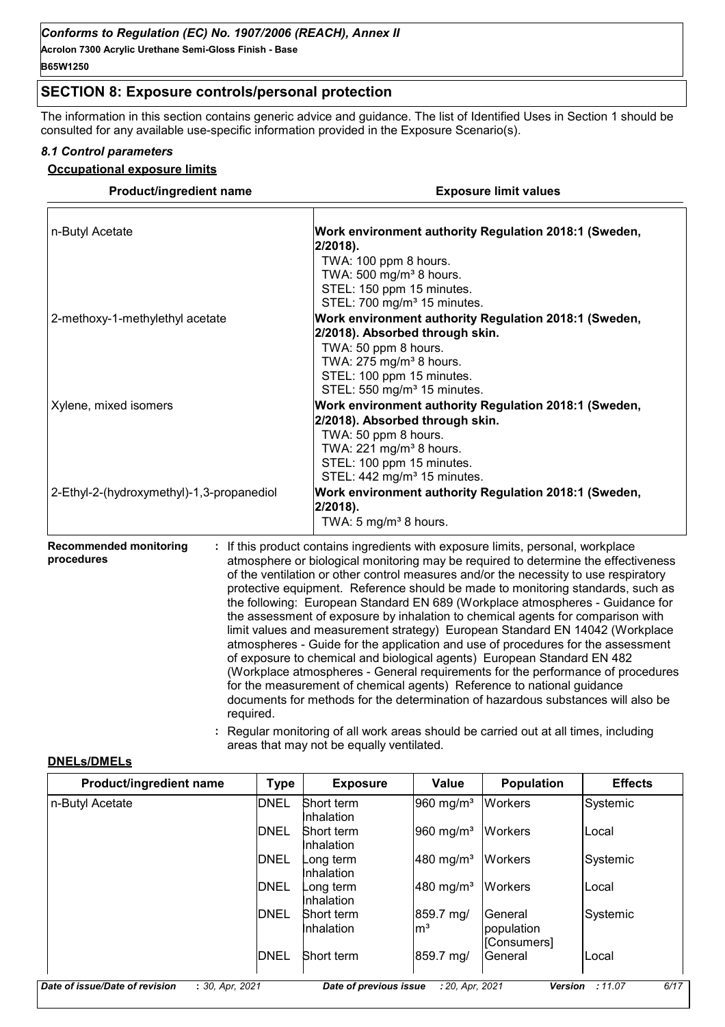**Acrolon 7300 Acrylic Urethane Semi-Gloss Finish - Base B65W1250**

# **SECTION 8: Exposure controls/personal protection**

The information in this section contains generic advice and guidance. The list of Identified Uses in Section 1 should be consulted for any available use-specific information provided in the Exposure Scenario(s).

#### *8.1 Control parameters*

#### **Occupational exposure limits**

| <b>Product/ingredient name</b>                           | <b>Exposure limit values</b>                                                                                                                                                                                                                                                                                                                                                                                                                                                                                                                                                                                                                                                                                                                                                                                                                                                                                                                                                                                        |  |  |
|----------------------------------------------------------|---------------------------------------------------------------------------------------------------------------------------------------------------------------------------------------------------------------------------------------------------------------------------------------------------------------------------------------------------------------------------------------------------------------------------------------------------------------------------------------------------------------------------------------------------------------------------------------------------------------------------------------------------------------------------------------------------------------------------------------------------------------------------------------------------------------------------------------------------------------------------------------------------------------------------------------------------------------------------------------------------------------------|--|--|
| n-Butyl Acetate                                          | Work environment authority Regulation 2018:1 (Sweden,<br>$2/2018$ ).<br>TWA: 100 ppm 8 hours.<br>TWA: 500 mg/m <sup>3</sup> 8 hours.<br>STEL: 150 ppm 15 minutes.<br>STEL: 700 mg/m <sup>3</sup> 15 minutes.                                                                                                                                                                                                                                                                                                                                                                                                                                                                                                                                                                                                                                                                                                                                                                                                        |  |  |
| 2-methoxy-1-methylethyl acetate                          | Work environment authority Regulation 2018:1 (Sweden,<br>2/2018). Absorbed through skin.<br>TWA: 50 ppm 8 hours.<br>TWA: 275 mg/m <sup>3</sup> 8 hours.<br>STEL: 100 ppm 15 minutes.<br>STEL: 550 mg/m <sup>3</sup> 15 minutes.                                                                                                                                                                                                                                                                                                                                                                                                                                                                                                                                                                                                                                                                                                                                                                                     |  |  |
| Xylene, mixed isomers                                    | Work environment authority Regulation 2018:1 (Sweden,<br>2/2018). Absorbed through skin.<br>TWA: 50 ppm 8 hours.<br>TWA: 221 mg/m <sup>3</sup> 8 hours.<br>STEL: 100 ppm 15 minutes.<br>STEL: 442 mg/m <sup>3</sup> 15 minutes.                                                                                                                                                                                                                                                                                                                                                                                                                                                                                                                                                                                                                                                                                                                                                                                     |  |  |
| 2-Ethyl-2-(hydroxymethyl)-1,3-propanediol                | Work environment authority Regulation 2018:1 (Sweden,<br>$2/2018$ ).<br>TWA: 5 mg/m <sup>3</sup> 8 hours.                                                                                                                                                                                                                                                                                                                                                                                                                                                                                                                                                                                                                                                                                                                                                                                                                                                                                                           |  |  |
| <b>Recommended monitoring</b><br>procedures<br>required. | If this product contains ingredients with exposure limits, personal, workplace<br>atmosphere or biological monitoring may be required to determine the effectiveness<br>of the ventilation or other control measures and/or the necessity to use respiratory<br>protective equipment. Reference should be made to monitoring standards, such as<br>the following: European Standard EN 689 (Workplace atmospheres - Guidance for<br>the assessment of exposure by inhalation to chemical agents for comparison with<br>limit values and measurement strategy) European Standard EN 14042 (Workplace<br>atmospheres - Guide for the application and use of procedures for the assessment<br>of exposure to chemical and biological agents) European Standard EN 482<br>(Workplace atmospheres - General requirements for the performance of procedures<br>for the measurement of chemical agents) Reference to national guidance<br>documents for methods for the determination of hazardous substances will also be |  |  |

**:** Regular monitoring of all work areas should be carried out at all times, including areas that may not be equally ventilated.

#### **DNELs/DMELs**

| <b>Type</b> | <b>Exposure</b>                 | Value                   | <b>Population</b>     | <b>Effects</b> |
|-------------|---------------------------------|-------------------------|-----------------------|----------------|
| <b>DNEL</b> | Short term<br>Inhalation        | $960$ mg/m <sup>3</sup> | <b>Workers</b>        | Systemic       |
| DNEL        | Short term<br>Inhalation        | $960$ mg/m <sup>3</sup> | <b>Workers</b>        | lLocal         |
| DNEL        | ong term_<br>Inhalation         | $ 480 \text{ mg/m}^3$   | <b>Workers</b>        | Systemic       |
| DNEL        | ong term.<br>Inhalation         | $ 480 \text{ mg/m}^3$   | <b>Workers</b>        | lLocal         |
| DNEL        | <b>Short term</b><br>Inhalation | 859.7 mg/<br>lmª        | General<br>population | Systemic       |
| DNEL        | Short term                      | 859.7 mg/               | General               | lLocal         |
|             |                                 |                         |                       | [Consumers]    |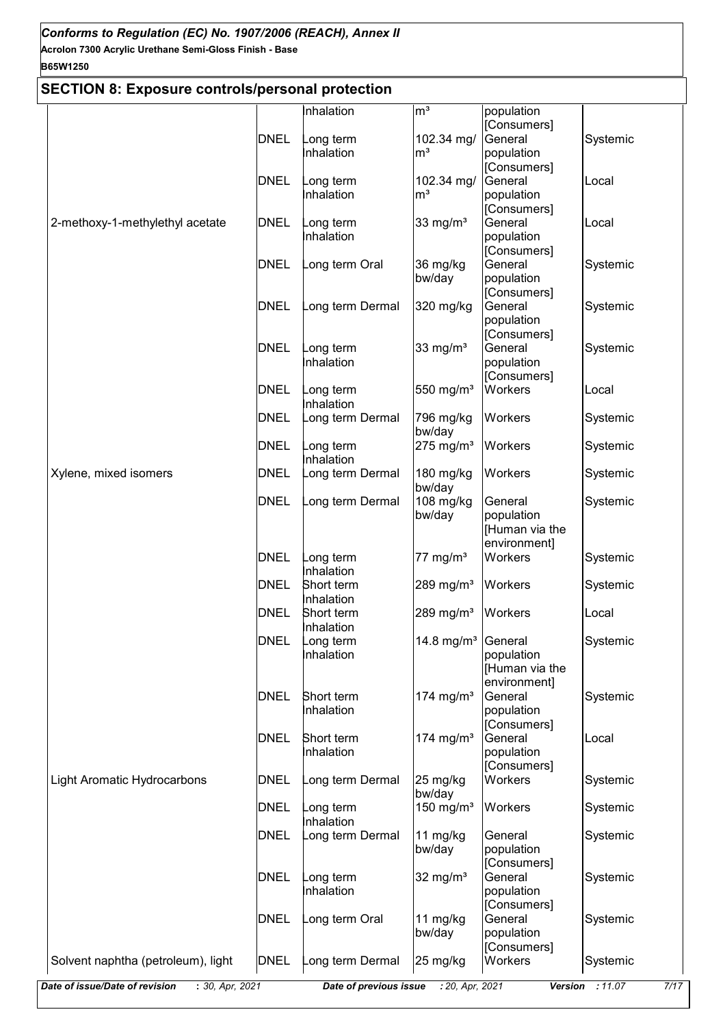# **B65W1250**

# **SECTION 8: Exposure controls/personal protection**

| SECTION 6. EXPOSUTE CONTUNISIPETSUMAL PROTECTION  |             |                        |                         |                           |                         |
|---------------------------------------------------|-------------|------------------------|-------------------------|---------------------------|-------------------------|
|                                                   |             | nhalation              | m <sup>3</sup>          | population                |                         |
|                                                   |             |                        |                         | [Consumers]               |                         |
|                                                   | <b>DNEL</b> | ong term               | 102.34 mg/              | General                   | Systemic                |
|                                                   |             | nhalation              | m <sup>3</sup>          | population                |                         |
|                                                   |             |                        |                         | [Consumers]               |                         |
|                                                   | <b>DNEL</b> | ong term               | 102.34 mg/              | General                   | Local                   |
|                                                   |             | nhalation              | m <sup>3</sup>          | population                |                         |
|                                                   |             |                        |                         | [Consumers]               |                         |
| 2-methoxy-1-methylethyl acetate                   | <b>DNEL</b> | ong term               | 33 mg/ $m3$             | General                   | Local                   |
|                                                   |             | nhalation              |                         | population                |                         |
|                                                   |             |                        |                         | [Consumers]               |                         |
|                                                   | <b>DNEL</b> | ong term Oral          | 36 mg/kg                | General                   | Systemic                |
|                                                   |             |                        | bw/day                  | population                |                         |
|                                                   | <b>DNEL</b> | ong term Dermal        |                         | [Consumers]<br>General    |                         |
|                                                   |             |                        | 320 mg/kg               |                           | Systemic                |
|                                                   |             |                        |                         | population<br>[Consumers] |                         |
|                                                   | <b>DNEL</b> | ong term               | 33 mg/ $m3$             | General                   | Systemic                |
|                                                   |             | nhalation              |                         | population                |                         |
|                                                   |             |                        |                         | [Consumers]               |                         |
|                                                   | <b>DNEL</b> | ong term               | 550 mg/m <sup>3</sup>   | Workers                   | Local                   |
|                                                   |             | nhalation              |                         |                           |                         |
|                                                   | <b>DNEL</b> | ong term Dermal        | 796 mg/kg               | Workers                   | Systemic                |
|                                                   |             |                        | bw/day                  |                           |                         |
|                                                   | <b>DNEL</b> | ong term               | $275$ mg/m <sup>3</sup> | Workers                   | Systemic                |
|                                                   |             | nhalation              |                         |                           |                         |
| Xylene, mixed isomers                             | <b>DNEL</b> | ong term Dermal        | 180 mg/kg               | Workers                   | Systemic                |
|                                                   |             |                        | bw/day                  |                           |                         |
|                                                   | <b>DNEL</b> | ong term Dermal        | 108 mg/kg               | General                   | Systemic                |
|                                                   |             |                        | bw/day                  | population                |                         |
|                                                   |             |                        |                         | [Human via the            |                         |
|                                                   |             |                        |                         | environment]              |                         |
|                                                   | <b>DNEL</b> | ong term               | 77 mg/m $3$             | Workers                   | Systemic                |
|                                                   |             | Inhalation             |                         |                           |                         |
|                                                   | <b>DNEL</b> | Short term             | 289 mg/m <sup>3</sup>   | Workers                   | Systemic                |
|                                                   |             | Inhalation             |                         |                           |                         |
|                                                   | <b>DNEL</b> | Short term             | 289 mg/m <sup>3</sup>   | Workers                   | Local                   |
|                                                   |             | Inhalation             |                         |                           |                         |
|                                                   | DNEL        | ong term               | 14.8 mg/ $m^3$          | General                   | Systemic                |
|                                                   |             | Inhalation             |                         | population                |                         |
|                                                   |             |                        |                         | [Human via the            |                         |
|                                                   |             |                        |                         | environment]              |                         |
|                                                   | <b>DNEL</b> | Short term             | 174 mg/m <sup>3</sup>   | General                   | Systemic                |
|                                                   |             | Inhalation             |                         | population                |                         |
|                                                   |             |                        |                         | [Consumers]               |                         |
|                                                   | <b>DNEL</b> | Short term             | 174 $mg/m3$             | General                   | Local                   |
|                                                   |             | Inhalation             |                         | population                |                         |
|                                                   |             |                        |                         | [Consumers]               |                         |
| <b>Light Aromatic Hydrocarbons</b>                | <b>DNEL</b> | ong term Dermal        | 25 mg/kg                | Workers                   | Systemic                |
|                                                   |             |                        | bw/day                  |                           |                         |
|                                                   | <b>DNEL</b> | ong term               | 150 mg/ $m3$            | Workers                   | Systemic                |
|                                                   |             | nhalation              |                         |                           |                         |
|                                                   | <b>DNEL</b> | ong term Dermal        | 11 $mg/kg$              | General                   | Systemic                |
|                                                   |             |                        | bw/day                  | population                |                         |
|                                                   |             |                        |                         | [Consumers]               |                         |
|                                                   | <b>DNEL</b> | ong term               | 32 mg/ $m3$             | General                   | Systemic                |
|                                                   |             | nhalation              |                         | population                |                         |
|                                                   |             |                        |                         | [Consumers]               |                         |
|                                                   | <b>DNEL</b> | ong term Oral          | 11 mg/kg                | General                   | Systemic                |
|                                                   |             |                        | bw/day                  | population                |                         |
|                                                   | <b>DNEL</b> |                        |                         | [Consumers]<br>Workers    |                         |
| Solvent naphtha (petroleum), light                |             | ong term Dermal        | 25 mg/kg                |                           | Systemic                |
| Date of issue/Date of revision<br>: 30, Apr, 2021 |             | Date of previous issue | : 20, Apr, 2021         |                           | Version : 11.07<br>7/17 |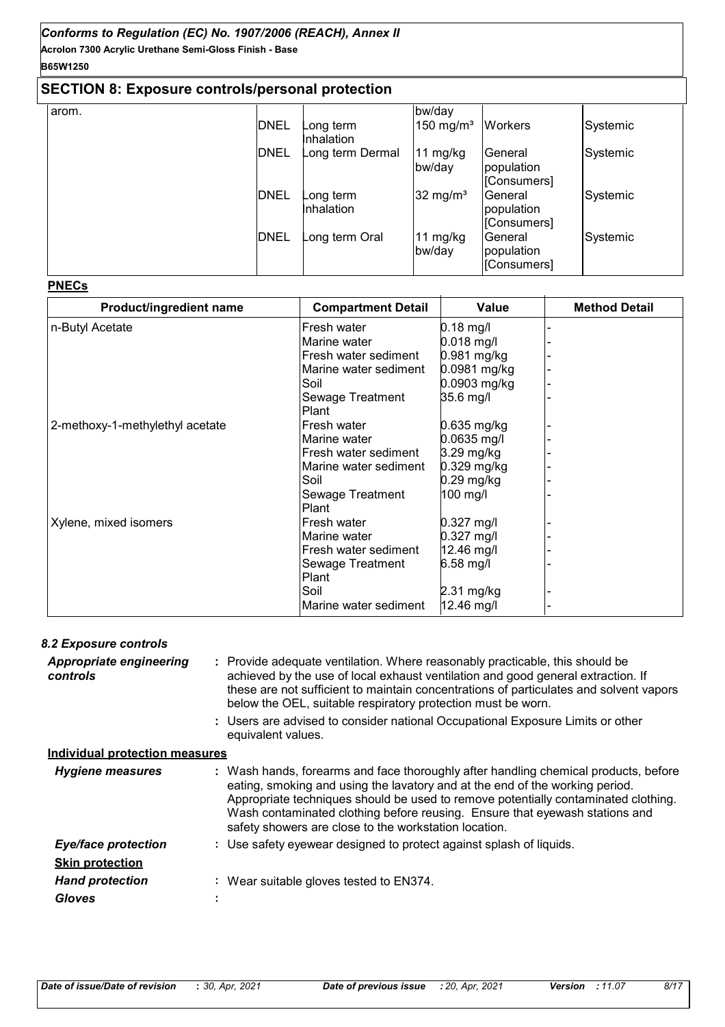# **B65W1250**

# **SECTION 8: Exposure controls/personal protection**

| arom. |             |                  | bw/day                  |                |          |
|-------|-------------|------------------|-------------------------|----------------|----------|
|       | <b>DNEL</b> | Long term        | $150$ mg/m <sup>3</sup> | <b>Workers</b> | Systemic |
|       |             | Inhalation       |                         |                |          |
|       | <b>DNEL</b> | Long term Dermal | 11 mg/kg                | General        | Systemic |
|       |             |                  | bw/day                  | population     |          |
|       |             |                  |                         | [Consumers]    |          |
|       | <b>DNEL</b> | ong term_        | $32 \text{ mg/m}^3$     | General        | Systemic |
|       |             | Inhalation       |                         | population     |          |
|       |             |                  |                         | [Consumers]    |          |
|       | <b>DNEL</b> | ong term Oral    | 11 mg/kg                | General        | Systemic |
|       |             |                  | bw/day                  | population     |          |
|       |             |                  |                         | [Consumers]    |          |

#### **PNECs**

| Product/ingredient name         | <b>Compartment Detail</b> | Value         | <b>Method Detail</b> |
|---------------------------------|---------------------------|---------------|----------------------|
| n-Butyl Acetate                 | Fresh water               | $0.18$ mg/l   |                      |
|                                 | Marine water              | $0.018$ mg/l  |                      |
|                                 | Fresh water sediment      | 0.981 mg/kg   |                      |
|                                 | Marine water sediment     | 0.0981 mg/kg  |                      |
|                                 | Soil                      | 0.0903 mg/kg  |                      |
|                                 | Sewage Treatment          | 35.6 mg/l     |                      |
|                                 | Plant                     |               |                      |
| 2-methoxy-1-methylethyl acetate | Fresh water               | 0.635 mg/kg   |                      |
|                                 | Marine water              | 0.0635 mg/l   |                      |
|                                 | Fresh water sediment      | 3.29 mg/kg    |                      |
|                                 | Marine water sediment     | $0.329$ mg/kg |                      |
|                                 | Soil                      | $0.29$ mg/kg  |                      |
|                                 | Sewage Treatment          | 100 mg/l      |                      |
|                                 | <b>Plant</b>              |               |                      |
| Xylene, mixed isomers           | Fresh water               | $0.327$ mg/l  |                      |
|                                 | Marine water              | $0.327$ mg/l  |                      |
|                                 | Fresh water sediment      | 12.46 mg/l    |                      |
|                                 | Sewage Treatment          | 6.58 mg/l     |                      |
|                                 | Plant                     |               |                      |
|                                 | Soil                      | 2.31 mg/kg    |                      |
|                                 | Marine water sediment     | 12.46 mg/l    |                      |

#### *8.2 Exposure controls*

Provide adequate ventilation. Where reasonably practicable, this should be **:** achieved by the use of local exhaust ventilation and good general extraction. If these are not sufficient to maintain concentrations of particulates and solvent vapors below the OEL, suitable respiratory protection must be worn. *Appropriate engineering controls*

Users are advised to consider national Occupational Exposure Limits or other **:** equivalent values.

# **Individual protection measures**

| <b>Hygiene measures</b>    | : Wash hands, forearms and face thoroughly after handling chemical products, before<br>eating, smoking and using the lavatory and at the end of the working period.<br>Appropriate techniques should be used to remove potentially contaminated clothing.<br>Wash contaminated clothing before reusing. Ensure that eyewash stations and<br>safety showers are close to the workstation location. |
|----------------------------|---------------------------------------------------------------------------------------------------------------------------------------------------------------------------------------------------------------------------------------------------------------------------------------------------------------------------------------------------------------------------------------------------|
| <b>Eye/face protection</b> | : Use safety eyewear designed to protect against splash of liquids.                                                                                                                                                                                                                                                                                                                               |
| <b>Skin protection</b>     |                                                                                                                                                                                                                                                                                                                                                                                                   |
| <b>Hand protection</b>     | Wear suitable gloves tested to EN374.                                                                                                                                                                                                                                                                                                                                                             |
| <b>Gloves</b>              |                                                                                                                                                                                                                                                                                                                                                                                                   |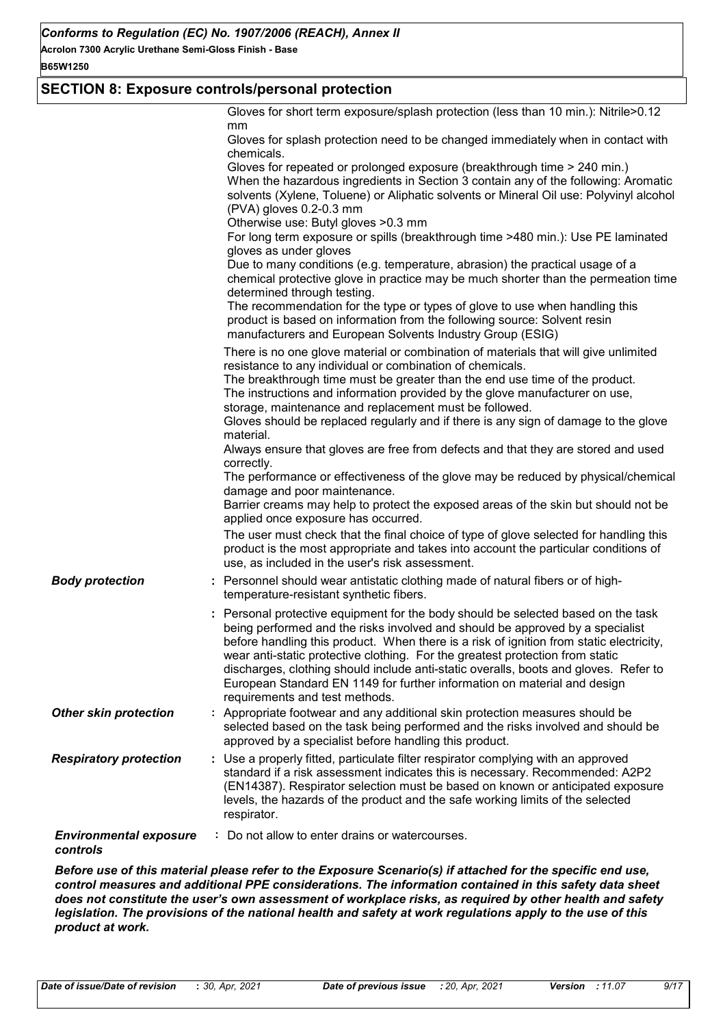#### **B65W1250**

# **SECTION 8: Exposure controls/personal protection**

|                                           | Gloves for short term exposure/splash protection (less than 10 min.): Nitrile>0.12<br>mm<br>Gloves for splash protection need to be changed immediately when in contact with<br>chemicals.<br>Gloves for repeated or prolonged exposure (breakthrough time > 240 min.)<br>When the hazardous ingredients in Section 3 contain any of the following: Aromatic<br>solvents (Xylene, Toluene) or Aliphatic solvents or Mineral Oil use: Polyvinyl alcohol<br>(PVA) gloves 0.2-0.3 mm<br>Otherwise use: Butyl gloves > 0.3 mm                                                                                                                                                                                                                                                                                                                                                                                                                                                                                         |
|-------------------------------------------|-------------------------------------------------------------------------------------------------------------------------------------------------------------------------------------------------------------------------------------------------------------------------------------------------------------------------------------------------------------------------------------------------------------------------------------------------------------------------------------------------------------------------------------------------------------------------------------------------------------------------------------------------------------------------------------------------------------------------------------------------------------------------------------------------------------------------------------------------------------------------------------------------------------------------------------------------------------------------------------------------------------------|
|                                           | For long term exposure or spills (breakthrough time >480 min.): Use PE laminated<br>gloves as under gloves<br>Due to many conditions (e.g. temperature, abrasion) the practical usage of a<br>chemical protective glove in practice may be much shorter than the permeation time<br>determined through testing.<br>The recommendation for the type or types of glove to use when handling this<br>product is based on information from the following source: Solvent resin<br>manufacturers and European Solvents Industry Group (ESIG)                                                                                                                                                                                                                                                                                                                                                                                                                                                                           |
|                                           | There is no one glove material or combination of materials that will give unlimited<br>resistance to any individual or combination of chemicals.<br>The breakthrough time must be greater than the end use time of the product.<br>The instructions and information provided by the glove manufacturer on use,<br>storage, maintenance and replacement must be followed.<br>Gloves should be replaced regularly and if there is any sign of damage to the glove<br>material.<br>Always ensure that gloves are free from defects and that they are stored and used<br>correctly.<br>The performance or effectiveness of the glove may be reduced by physical/chemical<br>damage and poor maintenance.<br>Barrier creams may help to protect the exposed areas of the skin but should not be<br>applied once exposure has occurred.<br>The user must check that the final choice of type of glove selected for handling this<br>product is the most appropriate and takes into account the particular conditions of |
| <b>Body protection</b>                    | use, as included in the user's risk assessment.<br>: Personnel should wear antistatic clothing made of natural fibers or of high-<br>temperature-resistant synthetic fibers.                                                                                                                                                                                                                                                                                                                                                                                                                                                                                                                                                                                                                                                                                                                                                                                                                                      |
|                                           | : Personal protective equipment for the body should be selected based on the task<br>being performed and the risks involved and should be approved by a specialist<br>before handling this product. When there is a risk of ignition from static electricity,<br>wear anti-static protective clothing. For the greatest protection from static<br>discharges, clothing should include anti-static overalls, boots and gloves. Refer to<br>European Standard EN 1149 for further information on material and design<br>requirements and test methods.                                                                                                                                                                                                                                                                                                                                                                                                                                                              |
| <b>Other skin protection</b>              | : Appropriate footwear and any additional skin protection measures should be<br>selected based on the task being performed and the risks involved and should be<br>approved by a specialist before handling this product.                                                                                                                                                                                                                                                                                                                                                                                                                                                                                                                                                                                                                                                                                                                                                                                         |
| <b>Respiratory protection</b>             | : Use a properly fitted, particulate filter respirator complying with an approved<br>standard if a risk assessment indicates this is necessary. Recommended: A2P2<br>(EN14387). Respirator selection must be based on known or anticipated exposure<br>levels, the hazards of the product and the safe working limits of the selected<br>respirator.                                                                                                                                                                                                                                                                                                                                                                                                                                                                                                                                                                                                                                                              |
| <b>Environmental exposure</b><br>controls | : Do not allow to enter drains or watercourses.                                                                                                                                                                                                                                                                                                                                                                                                                                                                                                                                                                                                                                                                                                                                                                                                                                                                                                                                                                   |

*Before use of this material please refer to the Exposure Scenario(s) if attached for the specific end use, control measures and additional PPE considerations. The information contained in this safety data sheet does not constitute the user's own assessment of workplace risks, as required by other health and safety legislation. The provisions of the national health and safety at work regulations apply to the use of this product at work.*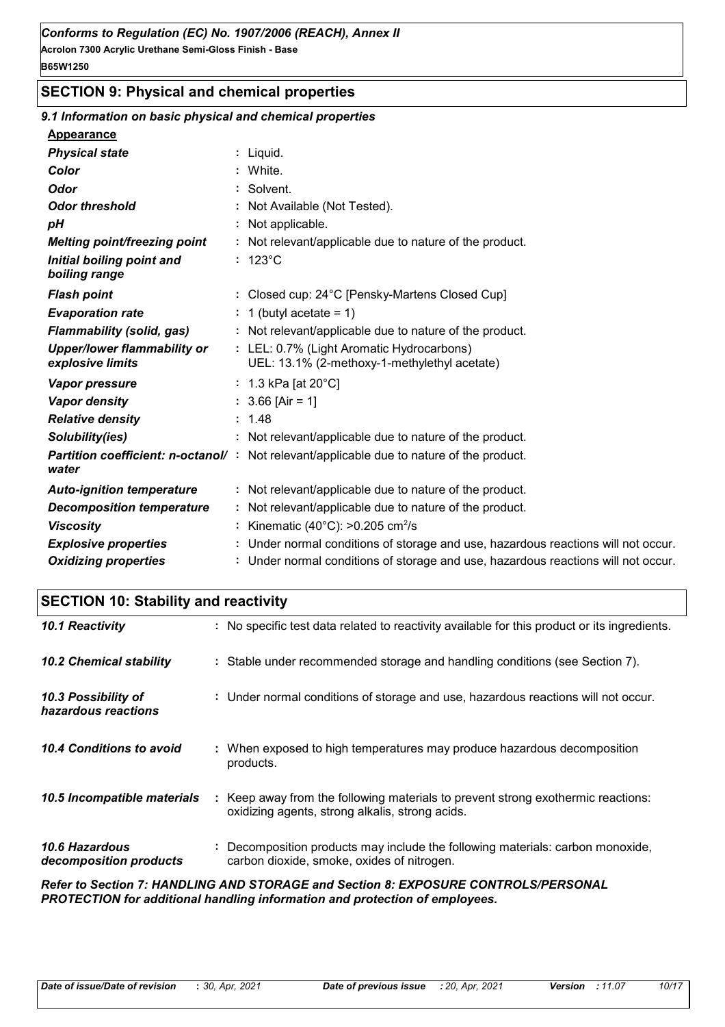# **SECTION 9: Physical and chemical properties**

## *9.1 Information on basic physical and chemical properties*

#### **Appearance**

| <b>Physical state</b>                                  | : Liquid.                                                                                        |
|--------------------------------------------------------|--------------------------------------------------------------------------------------------------|
| Color                                                  | : White.                                                                                         |
| <b>Odor</b>                                            | : Solvent.                                                                                       |
| <b>Odor threshold</b>                                  | : Not Available (Not Tested).                                                                    |
| pH                                                     | : Not applicable.                                                                                |
| <b>Melting point/freezing point</b>                    | : Not relevant/applicable due to nature of the product.                                          |
| Initial boiling point and<br>boiling range             | $: 123^{\circ}$ C                                                                                |
| <b>Flash point</b>                                     | : Closed cup: 24°C [Pensky-Martens Closed Cup]                                                   |
| <b>Evaporation rate</b>                                | : 1 (butyl acetate = 1)                                                                          |
| <b>Flammability (solid, gas)</b>                       | : Not relevant/applicable due to nature of the product.                                          |
| <b>Upper/lower flammability or</b><br>explosive limits | : LEL: 0.7% (Light Aromatic Hydrocarbons)<br>UEL: 13.1% (2-methoxy-1-methylethyl acetate)        |
| <b>Vapor pressure</b>                                  | : 1.3 kPa [at $20^{\circ}$ C]                                                                    |
| <b>Vapor density</b>                                   | $: 3.66$ [Air = 1]                                                                               |
| <b>Relative density</b>                                | : 1.48                                                                                           |
| Solubility(ies)                                        | : Not relevant/applicable due to nature of the product.                                          |
| water                                                  | <b>Partition coefficient: n-octanol/</b> : Not relevant/applicable due to nature of the product. |
| <b>Auto-ignition temperature</b>                       | : Not relevant/applicable due to nature of the product.                                          |
| <b>Decomposition temperature</b>                       | : Not relevant/applicable due to nature of the product.                                          |
| <b>Viscosity</b>                                       | : Kinematic (40 $^{\circ}$ C): >0.205 cm <sup>2</sup> /s                                         |
| <b>Explosive properties</b>                            | : Under normal conditions of storage and use, hazardous reactions will not occur.                |
| <b>Oxidizing properties</b>                            | : Under normal conditions of storage and use, hazardous reactions will not occur.                |

# **SECTION 10: Stability and reactivity**

| 10.1 Reactivity                                 | : No specific test data related to reactivity available for this product or its ingredients.                                        |
|-------------------------------------------------|-------------------------------------------------------------------------------------------------------------------------------------|
| <b>10.2 Chemical stability</b>                  | : Stable under recommended storage and handling conditions (see Section 7).                                                         |
| 10.3 Possibility of<br>hazardous reactions      | : Under normal conditions of storage and use, hazardous reactions will not occur.                                                   |
| 10.4 Conditions to avoid                        | : When exposed to high temperatures may produce hazardous decomposition<br>products.                                                |
| 10.5 Incompatible materials                     | : Keep away from the following materials to prevent strong exothermic reactions:<br>oxidizing agents, strong alkalis, strong acids. |
| <b>10.6 Hazardous</b><br>decomposition products | : Decomposition products may include the following materials: carbon monoxide,<br>carbon dioxide, smoke, oxides of nitrogen.        |
|                                                 | <b>Dofor to Soction 7: HANDLING AND STODAGE and Soction 8: EVDOSLIDE CONTROLS CIREDSONAL</b>                                        |

*Refer to Section 7: HANDLING AND STORAGE and Section 8: EXPOSURE CONTROLS/PERSONAL PROTECTION for additional handling information and protection of employees.*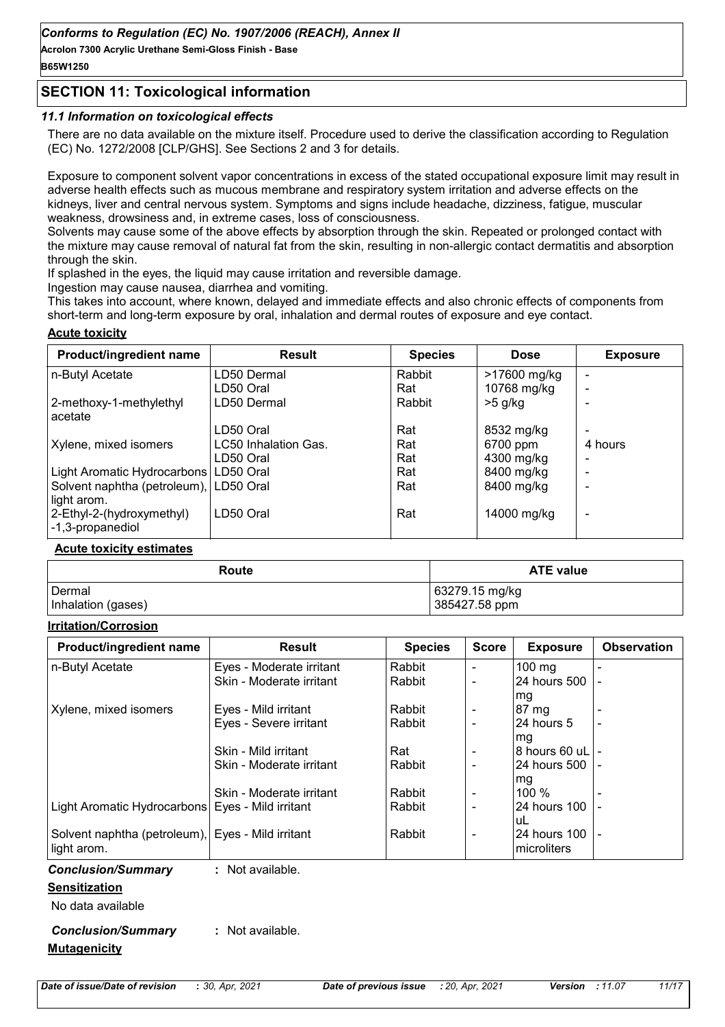# **SECTION 11: Toxicological information**

#### *11.1 Information on toxicological effects*

There are no data available on the mixture itself. Procedure used to derive the classification according to Regulation (EC) No. 1272/2008 [CLP/GHS]. See Sections 2 and 3 for details.

Exposure to component solvent vapor concentrations in excess of the stated occupational exposure limit may result in adverse health effects such as mucous membrane and respiratory system irritation and adverse effects on the kidneys, liver and central nervous system. Symptoms and signs include headache, dizziness, fatigue, muscular weakness, drowsiness and, in extreme cases, loss of consciousness.

Solvents may cause some of the above effects by absorption through the skin. Repeated or prolonged contact with the mixture may cause removal of natural fat from the skin, resulting in non-allergic contact dermatitis and absorption through the skin.

If splashed in the eyes, the liquid may cause irritation and reversible damage.

Ingestion may cause nausea, diarrhea and vomiting.

This takes into account, where known, delayed and immediate effects and also chronic effects of components from short-term and long-term exposure by oral, inhalation and dermal routes of exposure and eye contact.

### **Acute toxicity**

| Product/ingredient name                 | <b>Result</b>        | <b>Species</b> | <b>Dose</b>  | <b>Exposure</b> |
|-----------------------------------------|----------------------|----------------|--------------|-----------------|
| n-Butyl Acetate                         | LD50 Dermal          | Rabbit         | >17600 mg/kg |                 |
|                                         | LD50 Oral            | Rat            | 10768 mg/kg  |                 |
| 2-methoxy-1-methylethyl                 | LD50 Dermal          | Rabbit         | $>5$ g/kg    |                 |
| acetate                                 |                      |                |              |                 |
|                                         | LD50 Oral            | Rat            | 8532 mg/kg   |                 |
| Xylene, mixed isomers                   | LC50 Inhalation Gas. | Rat            | 6700 ppm     | 4 hours         |
|                                         | LD50 Oral            | Rat            | 4300 mg/kg   |                 |
| Light Aromatic Hydrocarbons   LD50 Oral |                      | Rat            | 8400 mg/kg   |                 |
| Solvent naphtha (petroleum), LD50 Oral  |                      | Rat            | 8400 mg/kg   |                 |
| light arom.                             |                      |                |              |                 |
| 2-Ethyl-2-(hydroxymethyl)               | LD50 Oral            | Rat            | 14000 mg/kg  |                 |
| -1,3-propanediol                        |                      |                |              |                 |

#### **Acute toxicity estimates**

| Route              | <b>ATE value</b> |
|--------------------|------------------|
| Dermal             | 63279.15 mg/kg   |
| Inhalation (gases) | 385427.58 ppm    |

#### **Irritation/Corrosion**

| Product/ingredient name                            | <b>Result</b>            | <b>Species</b> | <b>Score</b>                 | <b>Exposure</b> | <b>Observation</b>       |
|----------------------------------------------------|--------------------------|----------------|------------------------------|-----------------|--------------------------|
| n-Butyl Acetate                                    | Eyes - Moderate irritant | Rabbit         | $\overline{\phantom{a}}$     | 100 mg          |                          |
|                                                    | Skin - Moderate irritant | Rabbit         | $\blacksquare$               | 24 hours 500    |                          |
|                                                    |                          |                |                              | mg              |                          |
| Xylene, mixed isomers                              | Eyes - Mild irritant     | Rabbit         |                              | 87 mg           |                          |
|                                                    | Eyes - Severe irritant   | Rabbit         | $\blacksquare$               | l24 hours 5     |                          |
|                                                    |                          |                |                              | mg              |                          |
|                                                    | Skin - Mild irritant     | Rat            | $\overline{\phantom{a}}$     | 8 hours 60 uL   |                          |
|                                                    | Skin - Moderate irritant | Rabbit         | $\blacksquare$               | 24 hours 500    |                          |
|                                                    |                          |                |                              | mg              |                          |
|                                                    | Skin - Moderate irritant | Rabbit         | $\qquad \qquad \blacksquare$ | 100 %           |                          |
| Light Aromatic Hydrocarbons   Eyes - Mild irritant |                          | Rabbit         | $\blacksquare$               | 24 hours 100    |                          |
|                                                    |                          |                |                              | uL              |                          |
| Solvent naphtha (petroleum), Eyes - Mild irritant  |                          | Rabbit         | $\overline{\phantom{a}}$     | 24 hours 100    | $\overline{\phantom{a}}$ |
| light arom.                                        |                          |                |                              | microliters     |                          |
| <b>Conclusion/Summary</b>                          | : Not available.         |                |                              |                 |                          |
| <b>Sensitization</b>                               |                          |                |                              |                 |                          |
| No data available                                  |                          |                |                              |                 |                          |
| <b>Conclusion/Summary</b>                          | : Not available.         |                |                              |                 |                          |
| <b>Mutagenicity</b>                                |                          |                |                              |                 |                          |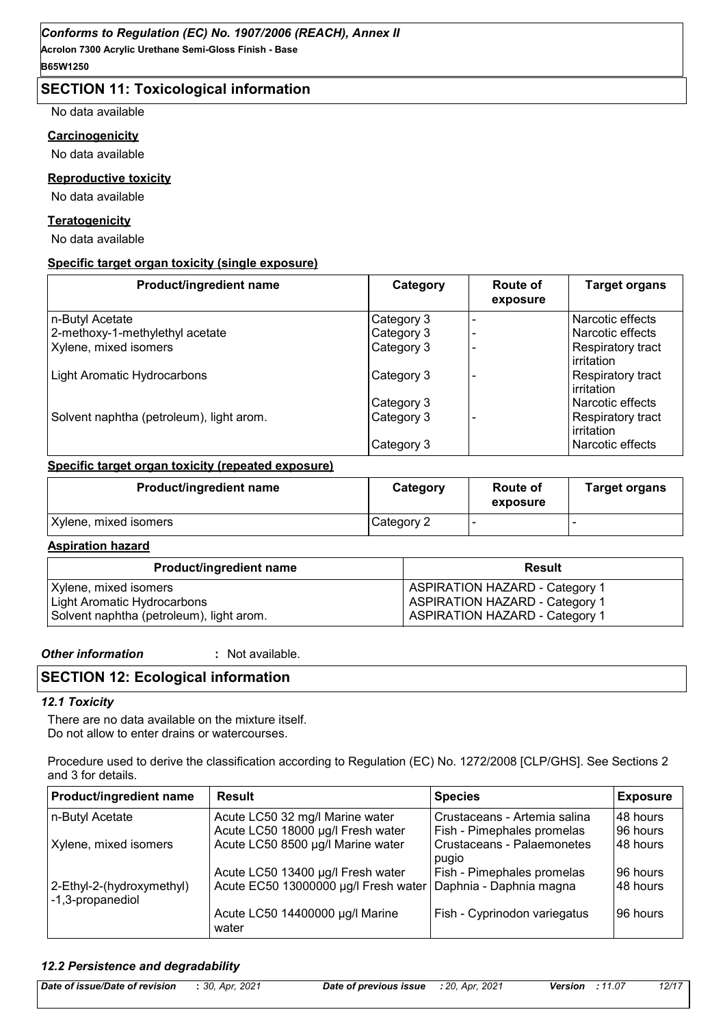# **SECTION 11: Toxicological information**

No data available

#### **Carcinogenicity**

No data available

#### **Reproductive toxicity**

No data available

#### **Teratogenicity**

No data available

#### **Specific target organ toxicity (single exposure)**

| Product/ingredient name                  | Category   | Route of<br>exposure | <b>Target organs</b>            |
|------------------------------------------|------------|----------------------|---------------------------------|
| n-Butyl Acetate                          | Category 3 |                      | Narcotic effects                |
| 2-methoxy-1-methylethyl acetate          | Category 3 |                      | Narcotic effects                |
| Xylene, mixed isomers                    | Category 3 |                      | Respiratory tract<br>irritation |
| <b>Light Aromatic Hydrocarbons</b>       | Category 3 |                      | Respiratory tract<br>irritation |
|                                          | Category 3 |                      | Narcotic effects                |
| Solvent naphtha (petroleum), light arom. | Category 3 |                      | Respiratory tract<br>irritation |
|                                          | Category 3 |                      | Narcotic effects                |

#### **Specific target organ toxicity (repeated exposure)**

| <b>Product/ingredient name</b> | Category   | Route of<br>exposure | <b>Target organs</b> |
|--------------------------------|------------|----------------------|----------------------|
| Xylene, mixed isomers          | Category 2 |                      |                      |

#### **Aspiration hazard**

| <b>Product/ingredient name</b>           | Result                                |
|------------------------------------------|---------------------------------------|
| Xylene, mixed isomers                    | <b>ASPIRATION HAZARD - Category 1</b> |
| Light Aromatic Hydrocarbons              | <b>ASPIRATION HAZARD - Category 1</b> |
| Solvent naphtha (petroleum), light arom. | <b>ASPIRATION HAZARD - Category 1</b> |

#### *Other information* **:**

: Not available.

# **SECTION 12: Ecological information**

#### *12.1 Toxicity*

There are no data available on the mixture itself. Do not allow to enter drains or watercourses.

Procedure used to derive the classification according to Regulation (EC) No. 1272/2008 [CLP/GHS]. See Sections 2 and 3 for details.

| <b>Product/ingredient name</b> | <b>Result</b>                                                          | <b>Species</b>                                                  | <b>Exposure</b>      |
|--------------------------------|------------------------------------------------------------------------|-----------------------------------------------------------------|----------------------|
| n-Butyl Acetate                | Acute LC50 32 mg/l Marine water                                        | Crustaceans - Artemia salina                                    | 48 hours<br>96 hours |
| Xylene, mixed isomers          | Acute LC50 18000 µg/l Fresh water<br>Acute LC50 8500 µg/l Marine water | <b>Fish - Pimephales promelas</b><br>Crustaceans - Palaemonetes | 48 hours             |
|                                | Acute LC50 13400 µg/l Fresh water                                      | pugio<br><b>Fish - Pimephales promelas</b>                      | 96 hours             |
| 2-Ethyl-2-(hydroxymethyl)      | Acute EC50 13000000 µg/l Fresh water   Daphnia - Daphnia magna         |                                                                 | 48 hours             |
| -1,3-propanediol               | Acute LC50 14400000 µg/l Marine                                        | Fish - Cyprinodon variegatus                                    | 96 hours             |
|                                | water                                                                  |                                                                 |                      |

#### *12.2 Persistence and degradability*

| Date of issue/Date of revision | : 30, Apr. 2021 | <b>Date of previous issue</b> : 20, Apr, 2021 | <b>Version</b> : 11.07 | 12/17 |
|--------------------------------|-----------------|-----------------------------------------------|------------------------|-------|
|                                |                 |                                               |                        |       |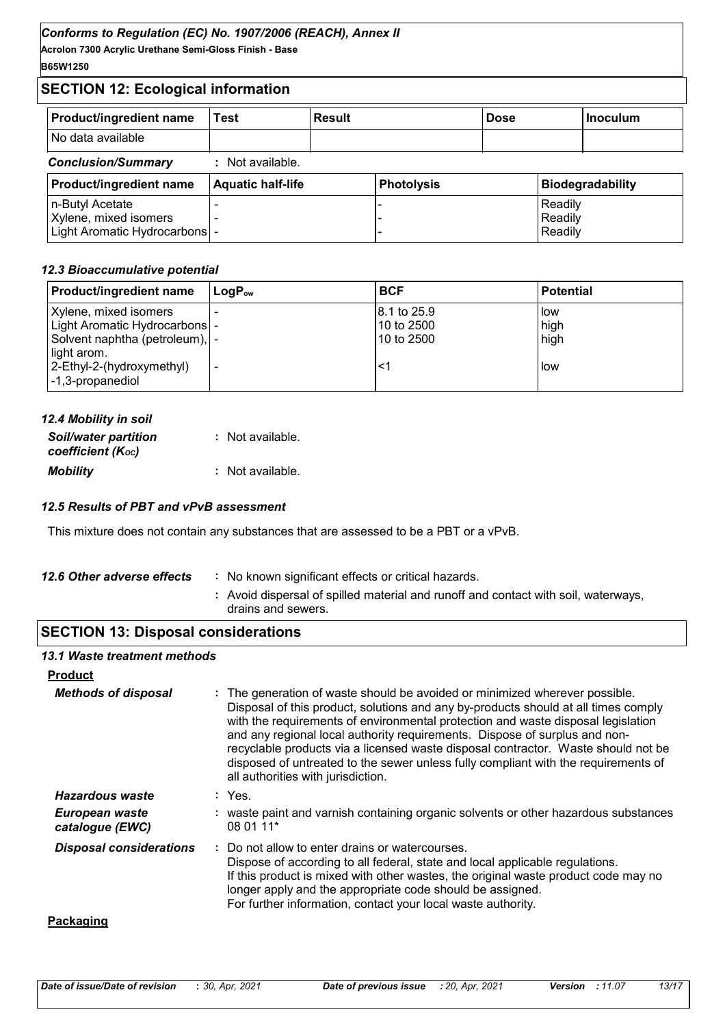**Acrolon 7300 Acrylic Urethane Semi-Gloss Finish - Base B65W1250**

# **SECTION 12: Ecological information**

| <b>Product/ingredient name</b> | Test                     | <b>Result</b> |                   | <b>Dose</b> |         | <b>Inoculum</b>         |
|--------------------------------|--------------------------|---------------|-------------------|-------------|---------|-------------------------|
| No data available              |                          |               |                   |             |         |                         |
| <b>Conclusion/Summary</b>      | Not available.           |               |                   |             |         |                         |
| <b>Product/ingredient name</b> | <b>Aquatic half-life</b> |               | <b>Photolysis</b> |             |         | <b>Biodegradability</b> |
| n-Butyl Acetate                |                          |               |                   |             | Readily |                         |
| Xylene, mixed isomers          |                          |               |                   |             | Readily |                         |
| Light Aromatic Hydrocarbons  - |                          |               |                   |             | Readily |                         |

## *12.3 Bioaccumulative potential*

| Product/ingredient name          | l LoɑP <sub>∾</sub>      | <b>BCF</b>   | <b>Potential</b> |
|----------------------------------|--------------------------|--------------|------------------|
| Xylene, mixed isomers            |                          | 18.1 to 25.9 | <b>I</b> low     |
| Light Aromatic Hydrocarbons  -   |                          | 10 to 2500   | high             |
| Solvent naphtha (petroleum),   - |                          | 10 to 2500   | high             |
| light arom.                      |                          |              |                  |
| 2-Ethyl-2-(hydroxymethyl)        | $\overline{\phantom{a}}$ | <1           | l low            |
| -1,3-propanediol                 |                          |              |                  |

| 12.4 Mobility in soil                            |                  |
|--------------------------------------------------|------------------|
| <b>Soil/water partition</b><br>coefficient (Koc) | : Not available. |
| <b>Mobility</b>                                  | : Not available. |

## *12.5 Results of PBT and vPvB assessment*

This mixture does not contain any substances that are assessed to be a PBT or a vPvB.

| 12.6 Other adverse effects | : No known significant effects or critical hazards.                                                      |
|----------------------------|----------------------------------------------------------------------------------------------------------|
|                            | : Avoid dispersal of spilled material and runoff and contact with soil, waterways,<br>drains and sewers. |

# **SECTION 13: Disposal considerations**

#### *13.1 Waste treatment methods*

| <b>Product</b>                    |                                                                                                                                                                                                                                                                                                                                                                                                                                                                                                                                                      |
|-----------------------------------|------------------------------------------------------------------------------------------------------------------------------------------------------------------------------------------------------------------------------------------------------------------------------------------------------------------------------------------------------------------------------------------------------------------------------------------------------------------------------------------------------------------------------------------------------|
| <b>Methods of disposal</b>        | : The generation of waste should be avoided or minimized wherever possible.<br>Disposal of this product, solutions and any by-products should at all times comply<br>with the requirements of environmental protection and waste disposal legislation<br>and any regional local authority requirements. Dispose of surplus and non-<br>recyclable products via a licensed waste disposal contractor. Waste should not be<br>disposed of untreated to the sewer unless fully compliant with the requirements of<br>all authorities with jurisdiction. |
| Hazardous waste                   | : Yes.                                                                                                                                                                                                                                                                                                                                                                                                                                                                                                                                               |
| European waste<br>catalogue (EWC) | : waste paint and varnish containing organic solvents or other hazardous substances<br>08 01 11*                                                                                                                                                                                                                                                                                                                                                                                                                                                     |
| <b>Disposal considerations</b>    | : Do not allow to enter drains or watercourses.<br>Dispose of according to all federal, state and local applicable regulations.<br>If this product is mixed with other wastes, the original waste product code may no<br>longer apply and the appropriate code should be assigned.<br>For further information, contact your local waste authority.                                                                                                                                                                                                   |
| Packaging                         |                                                                                                                                                                                                                                                                                                                                                                                                                                                                                                                                                      |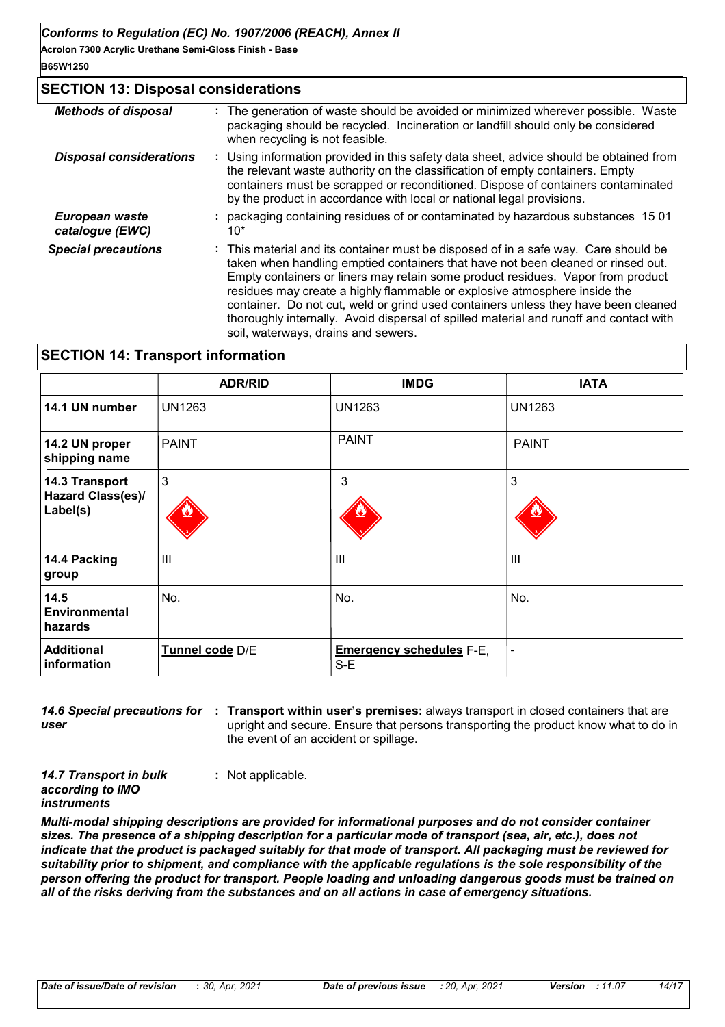# **SECTION 13: Disposal considerations**

| <b>Methods of disposal</b>        | : The generation of waste should be avoided or minimized wherever possible. Waste<br>packaging should be recycled. Incineration or landfill should only be considered<br>when recycling is not feasible.                                                                                                                                                                                                                                                                                                                                                       |
|-----------------------------------|----------------------------------------------------------------------------------------------------------------------------------------------------------------------------------------------------------------------------------------------------------------------------------------------------------------------------------------------------------------------------------------------------------------------------------------------------------------------------------------------------------------------------------------------------------------|
| <b>Disposal considerations</b>    | : Using information provided in this safety data sheet, advice should be obtained from<br>the relevant waste authority on the classification of empty containers. Empty<br>containers must be scrapped or reconditioned. Dispose of containers contaminated<br>by the product in accordance with local or national legal provisions.                                                                                                                                                                                                                           |
| European waste<br>catalogue (EWC) | packaging containing residues of or contaminated by hazardous substances 1501<br>$10*$                                                                                                                                                                                                                                                                                                                                                                                                                                                                         |
| <b>Special precautions</b>        | : This material and its container must be disposed of in a safe way. Care should be<br>taken when handling emptied containers that have not been cleaned or rinsed out.<br>Empty containers or liners may retain some product residues. Vapor from product<br>residues may create a highly flammable or explosive atmosphere inside the<br>container. Do not cut, weld or grind used containers unless they have been cleaned<br>thoroughly internally. Avoid dispersal of spilled material and runoff and contact with<br>soil, waterways, drains and sewers. |

# **SECTION 14: Transport information**

|                                                 | <b>ADR/RID</b>  | <b>IMDG</b>                            | <b>IATA</b>   |
|-------------------------------------------------|-----------------|----------------------------------------|---------------|
| 14.1 UN number                                  | <b>UN1263</b>   | <b>UN1263</b>                          | <b>UN1263</b> |
| 14.2 UN proper<br>shipping name                 | <b>PAINT</b>    | <b>PAINT</b>                           | <b>PAINT</b>  |
| 14.3 Transport<br>Hazard Class(es)/<br>Label(s) | $\mathbf{3}$    | 3                                      | 3             |
| 14.4 Packing<br>group                           | $\mathbf{III}$  | III                                    | III           |
| 14.5<br><b>Environmental</b><br>hazards         | No.             | No.                                    | No.           |
| <b>Additional</b><br>information                | Tunnel code D/E | <b>Emergency schedules F-E,</b><br>S-E |               |

*user*

14.6 Special precautions for : Transport within user's premises: always transport in closed containers that are upright and secure. Ensure that persons transporting the product know what to do in the event of an accident or spillage.

*14.7 Transport in bulk according to IMO instruments*

**:** Not applicable.

*Multi-modal shipping descriptions are provided for informational purposes and do not consider container sizes. The presence of a shipping description for a particular mode of transport (sea, air, etc.), does not indicate that the product is packaged suitably for that mode of transport. All packaging must be reviewed for suitability prior to shipment, and compliance with the applicable regulations is the sole responsibility of the person offering the product for transport. People loading and unloading dangerous goods must be trained on all of the risks deriving from the substances and on all actions in case of emergency situations.*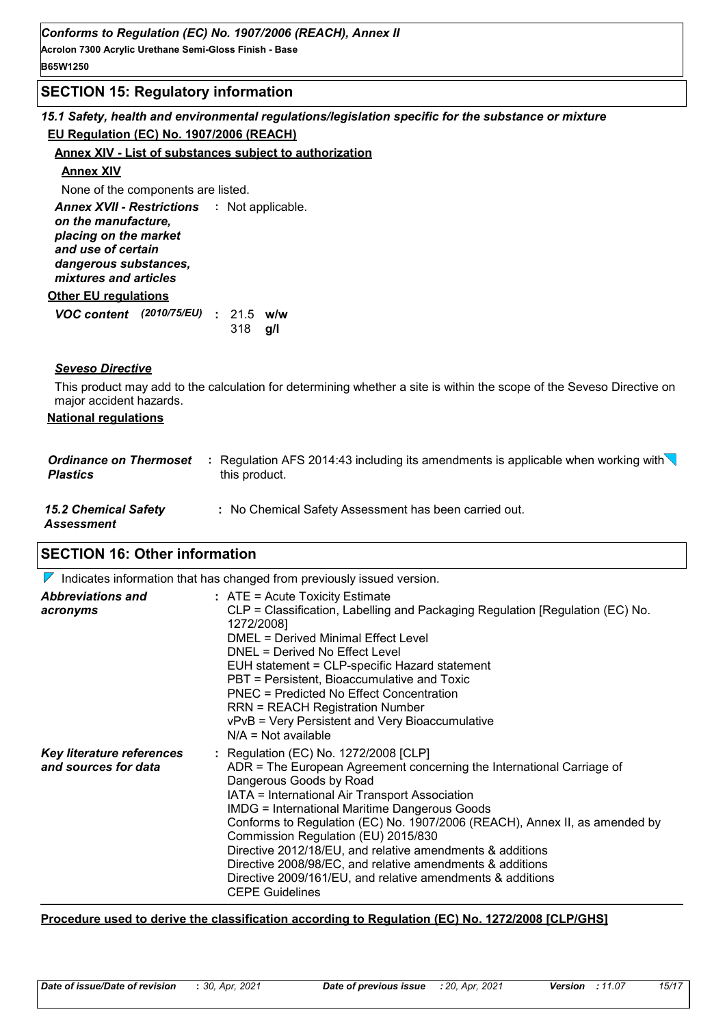## **SECTION 15: Regulatory information**

# *15.1 Safety, health and environmental regulations/legislation specific for the substance or mixture* **EU Regulation (EC) No. 1907/2006 (REACH)**

#### **Annex XIV - List of substances subject to authorization**

#### **Annex XIV**

None of the components are listed.

**Other EU regulations** Annex XVII - Restrictions : Not applicable. *on the manufacture, placing on the market and use of certain dangerous substances, mixtures and articles*

# *VOC content* (2010/75/EU) : 21.5 w/w **g/l** 318

#### *Seveso Directive*

This product may add to the calculation for determining whether a site is within the scope of the Seveso Directive on major accident hazards.

#### **National regulations**

| <b>Ordinance on Thermoset</b><br><b>Plastics</b> | Regulation AFS 2014:43 including its amendments is applicable when working with $\setminus$<br>÷.<br>this product. |
|--------------------------------------------------|--------------------------------------------------------------------------------------------------------------------|
| <b>15.2 Chemical Safety</b><br>Assessment        | : No Chemical Safety Assessment has been carried out.                                                              |

# **SECTION 16: Other information**

 $\nabla$  Indicates information that has changed from previously issued version.

| <b>Abbreviations and</b><br>acronyms                     | $:$ ATE = Acute Toxicity Estimate<br>CLP = Classification, Labelling and Packaging Regulation [Regulation (EC) No.<br>1272/2008]<br>DMEL = Derived Minimal Effect Level<br>DNEL = Derived No Effect Level<br>EUH statement = CLP-specific Hazard statement<br>PBT = Persistent, Bioaccumulative and Toxic<br>PNEC = Predicted No Effect Concentration<br><b>RRN = REACH Registration Number</b><br>vPvB = Very Persistent and Very Bioaccumulative<br>$N/A = Not available$                                                                                                                |
|----------------------------------------------------------|--------------------------------------------------------------------------------------------------------------------------------------------------------------------------------------------------------------------------------------------------------------------------------------------------------------------------------------------------------------------------------------------------------------------------------------------------------------------------------------------------------------------------------------------------------------------------------------------|
| <b>Key literature references</b><br>and sources for data | : Regulation (EC) No. 1272/2008 [CLP]<br>ADR = The European Agreement concerning the International Carriage of<br>Dangerous Goods by Road<br>IATA = International Air Transport Association<br><b>IMDG = International Maritime Dangerous Goods</b><br>Conforms to Regulation (EC) No. 1907/2006 (REACH), Annex II, as amended by<br>Commission Regulation (EU) 2015/830<br>Directive 2012/18/EU, and relative amendments & additions<br>Directive 2008/98/EC, and relative amendments & additions<br>Directive 2009/161/EU, and relative amendments & additions<br><b>CEPE Guidelines</b> |

#### **Procedure used to derive the classification according to Regulation (EC) No. 1272/2008 [CLP/GHS]**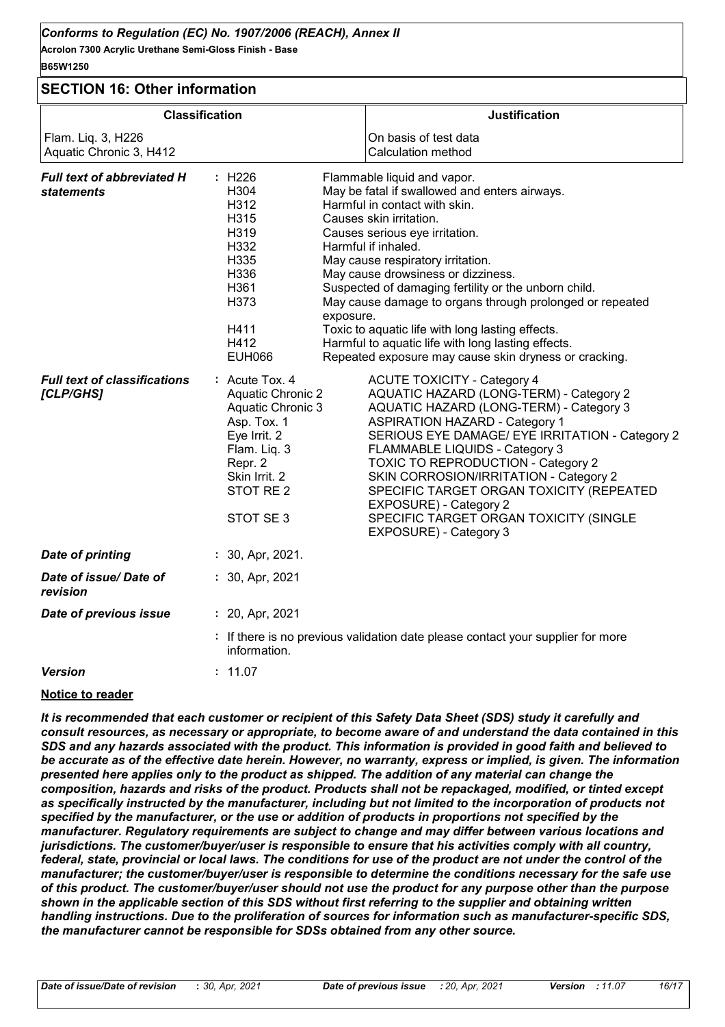**Acrolon 7300 Acrylic Urethane Semi-Gloss Finish - Base B65W1250**

# **SECTION 16: Other information**

| <b>SECTION 16: Other Information</b>                   |                                                                                                                                                                                                                                                                                                                                                                                                                                                                                                                                                                                |                                                                                                                                                                                                                                                                                                             |
|--------------------------------------------------------|--------------------------------------------------------------------------------------------------------------------------------------------------------------------------------------------------------------------------------------------------------------------------------------------------------------------------------------------------------------------------------------------------------------------------------------------------------------------------------------------------------------------------------------------------------------------------------|-------------------------------------------------------------------------------------------------------------------------------------------------------------------------------------------------------------------------------------------------------------------------------------------------------------|
|                                                        | <b>Classification</b>                                                                                                                                                                                                                                                                                                                                                                                                                                                                                                                                                          | <b>Justification</b>                                                                                                                                                                                                                                                                                        |
| Flam. Liq. 3, H226<br>Aquatic Chronic 3, H412          | On basis of test data<br>Calculation method                                                                                                                                                                                                                                                                                                                                                                                                                                                                                                                                    |                                                                                                                                                                                                                                                                                                             |
| <b>Full text of abbreviated H</b><br><i>statements</i> | : H226<br>Flammable liquid and vapor.<br>H304<br>May be fatal if swallowed and enters airways.<br>Harmful in contact with skin.<br>H312<br>Causes skin irritation.<br>H315<br>H319<br>Causes serious eye irritation.<br>H332<br>Harmful if inhaled.<br>H335<br>May cause respiratory irritation.<br>H336<br>May cause drowsiness or dizziness.<br>H361<br>Suspected of damaging fertility or the unborn child.<br>H373<br>exposure.<br>Toxic to aquatic life with long lasting effects.<br>H411<br>H412<br>Harmful to aquatic life with long lasting effects.<br><b>EUH066</b> | May cause damage to organs through prolonged or repeated<br>Repeated exposure may cause skin dryness or cracking.                                                                                                                                                                                           |
| <b>Full text of classifications</b><br>[CLP/GHS]       | : Acute Tox. 4<br><b>ACUTE TOXICITY - Category 4</b><br><b>Aquatic Chronic 2</b><br><b>Aquatic Chronic 3</b><br><b>ASPIRATION HAZARD - Category 1</b><br>Asp. Tox. 1<br>Eye Irrit. 2<br>Flam. Liq. 3<br>FLAMMABLE LIQUIDS - Category 3<br>Repr. 2<br>Skin Irrit. 2<br>STOT RE <sub>2</sub><br>EXPOSURE) - Category 2<br>STOT SE 3<br>EXPOSURE) - Category 3                                                                                                                                                                                                                    | AQUATIC HAZARD (LONG-TERM) - Category 2<br>AQUATIC HAZARD (LONG-TERM) - Category 3<br>SERIOUS EYE DAMAGE/ EYE IRRITATION - Category 2<br>TOXIC TO REPRODUCTION - Category 2<br>SKIN CORROSION/IRRITATION - Category 2<br>SPECIFIC TARGET ORGAN TOXICITY (REPEATED<br>SPECIFIC TARGET ORGAN TOXICITY (SINGLE |
| <b>Date of printing</b>                                | $: 30,$ Apr, 2021.                                                                                                                                                                                                                                                                                                                                                                                                                                                                                                                                                             |                                                                                                                                                                                                                                                                                                             |
| Date of issue/Date of<br>revision                      | $: 30,$ Apr, 2021                                                                                                                                                                                                                                                                                                                                                                                                                                                                                                                                                              |                                                                                                                                                                                                                                                                                                             |
| Date of previous issue                                 | : 20, Apr, 2021                                                                                                                                                                                                                                                                                                                                                                                                                                                                                                                                                                |                                                                                                                                                                                                                                                                                                             |
|                                                        | : If there is no previous validation date please contact your supplier for more<br>information.                                                                                                                                                                                                                                                                                                                                                                                                                                                                                |                                                                                                                                                                                                                                                                                                             |
| <b>Version</b>                                         | : 11.07                                                                                                                                                                                                                                                                                                                                                                                                                                                                                                                                                                        |                                                                                                                                                                                                                                                                                                             |
|                                                        |                                                                                                                                                                                                                                                                                                                                                                                                                                                                                                                                                                                |                                                                                                                                                                                                                                                                                                             |

#### **Notice to reader**

*It is recommended that each customer or recipient of this Safety Data Sheet (SDS) study it carefully and consult resources, as necessary or appropriate, to become aware of and understand the data contained in this SDS and any hazards associated with the product. This information is provided in good faith and believed to*  be accurate as of the effective date herein. However, no warranty, express or implied, is given. The information *presented here applies only to the product as shipped. The addition of any material can change the composition, hazards and risks of the product. Products shall not be repackaged, modified, or tinted except*  as specifically instructed by the manufacturer, including but not limited to the incorporation of products not *specified by the manufacturer, or the use or addition of products in proportions not specified by the manufacturer. Regulatory requirements are subject to change and may differ between various locations and jurisdictions. The customer/buyer/user is responsible to ensure that his activities comply with all country, federal, state, provincial or local laws. The conditions for use of the product are not under the control of the manufacturer; the customer/buyer/user is responsible to determine the conditions necessary for the safe use of this product. The customer/buyer/user should not use the product for any purpose other than the purpose shown in the applicable section of this SDS without first referring to the supplier and obtaining written handling instructions. Due to the proliferation of sources for information such as manufacturer-specific SDS, the manufacturer cannot be responsible for SDSs obtained from any other source.*